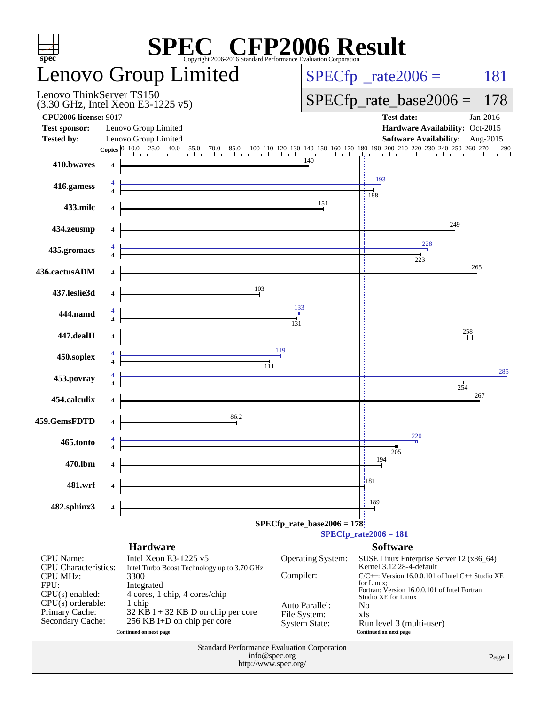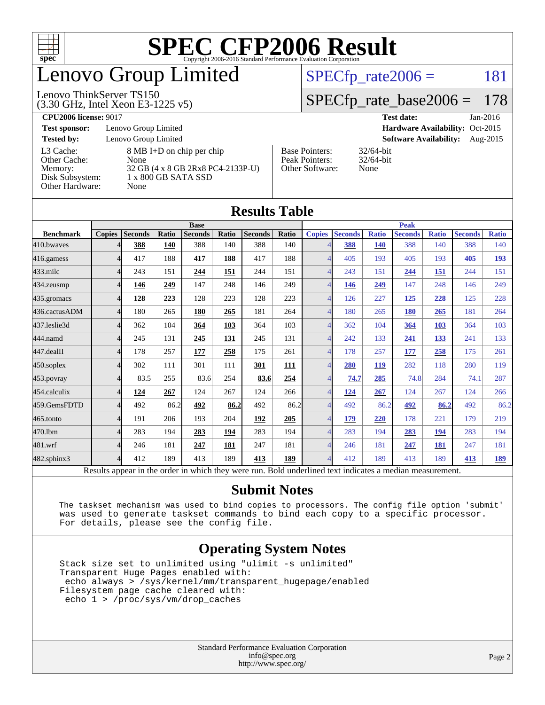

## enovo Group Limited

#### Lenovo ThinkServer TS150

(3.30 GHz, Intel Xeon E3-1225 v5)

 $SPECTp_rate2006 = 181$ 

### [SPECfp\\_rate\\_base2006 =](http://www.spec.org/auto/cpu2006/Docs/result-fields.html#SPECfpratebase2006) 178

| <b>CPU2006 license: 9017</b> | <b>Test date:</b> | $Jan-2016$ |
|------------------------------|-------------------|------------|
|                              |                   |            |

**[Test sponsor:](http://www.spec.org/auto/cpu2006/Docs/result-fields.html#Testsponsor)** Lenovo Group Limited **[Hardware Availability:](http://www.spec.org/auto/cpu2006/Docs/result-fields.html#HardwareAvailability)** Oct-2015 **[Tested by:](http://www.spec.org/auto/cpu2006/Docs/result-fields.html#Testedby)** Lenovo Group Limited **[Software Availability:](http://www.spec.org/auto/cpu2006/Docs/result-fields.html#SoftwareAvailability)** Aug-2015 [L3 Cache:](http://www.spec.org/auto/cpu2006/Docs/result-fields.html#L3Cache) 8 MB I+D on chip per chip<br>Other Cache: None [Other Cache:](http://www.spec.org/auto/cpu2006/Docs/result-fields.html#OtherCache) [Memory:](http://www.spec.org/auto/cpu2006/Docs/result-fields.html#Memory) 32 GB (4 x 8 GB 2Rx8 PC4-2133P-U) [Disk Subsystem:](http://www.spec.org/auto/cpu2006/Docs/result-fields.html#DiskSubsystem) 1 x 800 GB SATA SSD [Other Hardware:](http://www.spec.org/auto/cpu2006/Docs/result-fields.html#OtherHardware) None [Base Pointers:](http://www.spec.org/auto/cpu2006/Docs/result-fields.html#BasePointers) 32/64-bit<br>Peak Pointers: 32/64-bit [Peak Pointers:](http://www.spec.org/auto/cpu2006/Docs/result-fields.html#PeakPointers) [Other Software:](http://www.spec.org/auto/cpu2006/Docs/result-fields.html#OtherSoftware) None

| <b>Results Table</b> |                          |                |       |                                                                                                          |             |                |       |                          |                |              |                |              |                |              |
|----------------------|--------------------------|----------------|-------|----------------------------------------------------------------------------------------------------------|-------------|----------------|-------|--------------------------|----------------|--------------|----------------|--------------|----------------|--------------|
|                      | <b>Base</b>              |                |       |                                                                                                          | <b>Peak</b> |                |       |                          |                |              |                |              |                |              |
| <b>Benchmark</b>     | <b>Copies</b>            | <b>Seconds</b> | Ratio | <b>Seconds</b>                                                                                           | Ratio       | <b>Seconds</b> | Ratio | <b>Copies</b>            | <b>Seconds</b> | <b>Ratio</b> | <b>Seconds</b> | <b>Ratio</b> | <b>Seconds</b> | <b>Ratio</b> |
| 410.bwayes           |                          | 388            | 140   | 388                                                                                                      | 140         | 388            | 140   |                          | 388            | <b>140</b>   | 388            | 140          | 388            | 140          |
| 416.gamess           | $\overline{\mathcal{A}}$ | 417            | 188   | 417                                                                                                      | 188         | 417            | 188   |                          | 405            | 193          | 405            | 193          | 405            | <u>193</u>   |
| $433$ .milc          | $\overline{4}$           | 243            | 151   | 244                                                                                                      | 151         | 244            | 151   | $\overline{4}$           | 243            | 151          | 244            | 151          | 244            | 151          |
| 434.zeusmp           | $\overline{4}$           | 146            | 249   | 147                                                                                                      | 248         | 146            | 249   | $\boldsymbol{\Delta}$    | <u>146</u>     | 249          | 147            | 248          | 146            | 249          |
| 435.gromacs          | $\overline{4}$           | 128            | 223   | 128                                                                                                      | 223         | 128            | 223   | $\boldsymbol{\Delta}$    | 126            | 227          | 125            | 228          | 125            | 228          |
| 436.cactusADM        | $\overline{4}$           | 180            | 265   | 180                                                                                                      | 265         | 181            | 264   | $\overline{4}$           | 180            | 265          | 180            | 265          | 181            | 264          |
| 437.leslie3d         | $\boldsymbol{\varDelta}$ | 362            | 104   | 364                                                                                                      | 103         | 364            | 103   | $\overline{\mathcal{A}}$ | 362            | 104          | 364            | 103          | 364            | 103          |
| 444.namd             | $\Delta$                 | 245            | 131   | 245                                                                                                      | 131         | 245            | 131   |                          | 242            | 133          | 241            | 133          | 241            | 133          |
| 447.dealII           | $\overline{\mathcal{A}}$ | 178            | 257   | 177                                                                                                      | 258         | 175            | 261   | $\Delta$                 | 178            | 257          | 177            | 258          | 175            | 261          |
| $450$ .soplex        | $\overline{4}$           | 302            | 111   | 301                                                                                                      | 111         | 301            | 111   | $\overline{4}$           | 280            | 119          | 282            | 118          | 280            | 119          |
| 453.povray           | $\overline{4}$           | 83.5           | 255   | 83.6                                                                                                     | 254         | 83.6           | 254   |                          | 74.7           | 285          | 74.8           | 284          | 74.1           | 287          |
| 454.calculix         | $\overline{4}$           | 124            | 267   | 124                                                                                                      | 267         | 124            | 266   | 4                        | <u>124</u>     | 267          | 124            | 267          | 124            | 266          |
| 459.GemsFDTD         | $\overline{\mathcal{A}}$ | 492            | 86.2  | 492                                                                                                      | 86.2        | 492            | 86.2  | $\overline{4}$           | 492            | 86.2         | 492            | 86.2         | 492            | 86.2         |
| 465.tonto            | $\overline{4}$           | 191            | 206   | 193                                                                                                      | 204         | 192            | 205   | 4                        | 179            | 220          | 178            | 221          | 179            | 219          |
| 470.1bm              | $\Delta$                 | 283            | 194   | 283                                                                                                      | 194         | 283            | 194   |                          | 283            | 194          | 283            | 194          | 283            | 194          |
| 481.wrf              | $\Delta$                 | 246            | 181   | 247                                                                                                      | 181         | 247            | 181   |                          | 246            | 181          | 247            | <u>181</u>   | 247            | 181          |
| 482.sphinx3          | $\Delta$                 | 412            | 189   | 413                                                                                                      | 189         | 413            | 189   | $\overline{\mathcal{A}}$ | 412            | 189          | 413            | 189          | 413            | <u>189</u>   |
|                      |                          |                |       | Results appear in the order in which they were run. Bold underlined text indicates a median measurement. |             |                |       |                          |                |              |                |              |                |              |

### **[Submit Notes](http://www.spec.org/auto/cpu2006/Docs/result-fields.html#SubmitNotes)**

 The taskset mechanism was used to bind copies to processors. The config file option 'submit' was used to generate taskset commands to bind each copy to a specific processor. For details, please see the config file.

### **[Operating System Notes](http://www.spec.org/auto/cpu2006/Docs/result-fields.html#OperatingSystemNotes)**

 Stack size set to unlimited using "ulimit -s unlimited" Transparent Huge Pages enabled with: echo always > /sys/kernel/mm/transparent\_hugepage/enabled Filesystem page cache cleared with: echo 1 > /proc/sys/vm/drop\_caches

> Standard Performance Evaluation Corporation [info@spec.org](mailto:info@spec.org) <http://www.spec.org/>

#### Page 2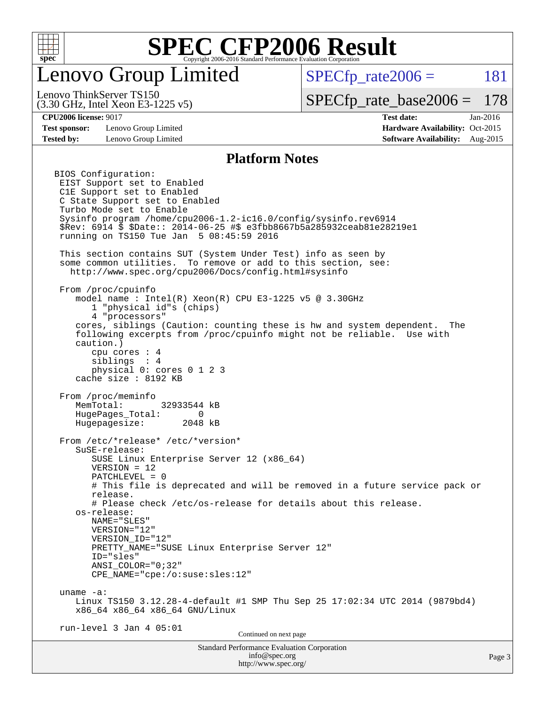

## Lenovo Group Limited

 $SPECTp_rate2006 = 181$ 

(3.30 GHz, Intel Xeon E3-1225 v5) Lenovo ThinkServer TS150

[SPECfp\\_rate\\_base2006 =](http://www.spec.org/auto/cpu2006/Docs/result-fields.html#SPECfpratebase2006) 178

**[CPU2006 license:](http://www.spec.org/auto/cpu2006/Docs/result-fields.html#CPU2006license)** 9017 **[Test date:](http://www.spec.org/auto/cpu2006/Docs/result-fields.html#Testdate)** Jan-2016

**[Test sponsor:](http://www.spec.org/auto/cpu2006/Docs/result-fields.html#Testsponsor)** Lenovo Group Limited **[Hardware Availability:](http://www.spec.org/auto/cpu2006/Docs/result-fields.html#HardwareAvailability)** Oct-2015

**[Tested by:](http://www.spec.org/auto/cpu2006/Docs/result-fields.html#Testedby)** Lenovo Group Limited **[Software Availability:](http://www.spec.org/auto/cpu2006/Docs/result-fields.html#SoftwareAvailability)** Aug-2015

### **[Platform Notes](http://www.spec.org/auto/cpu2006/Docs/result-fields.html#PlatformNotes)**

Standard Performance Evaluation Corporation [info@spec.org](mailto:info@spec.org) BIOS Configuration: EIST Support set to Enabled C1E Support set to Enabled C State Support set to Enabled Turbo Mode set to Enable Sysinfo program /home/cpu2006-1.2-ic16.0/config/sysinfo.rev6914 \$Rev: 6914 \$ \$Date:: 2014-06-25 #\$ e3fbb8667b5a285932ceab81e28219e1 running on TS150 Tue Jan 5 08:45:59 2016 This section contains SUT (System Under Test) info as seen by some common utilities. To remove or add to this section, see: <http://www.spec.org/cpu2006/Docs/config.html#sysinfo> From /proc/cpuinfo model name : Intel(R) Xeon(R) CPU E3-1225 v5 @ 3.30GHz 1 "physical id"s (chips) 4 "processors" cores, siblings (Caution: counting these is hw and system dependent. The following excerpts from /proc/cpuinfo might not be reliable. Use with caution.) cpu cores : 4 siblings : 4 physical 0: cores 0 1 2 3 cache size : 8192 KB From /proc/meminfo MemTotal: 32933544 kB HugePages\_Total: 0<br>Hugepagesize: 2048 kB Hugepagesize: From /etc/\*release\* /etc/\*version\* SuSE-release: SUSE Linux Enterprise Server 12 (x86\_64) VERSION = 12 PATCHLEVEL = 0 # This file is deprecated and will be removed in a future service pack or release. # Please check /etc/os-release for details about this release. os-release: NAME="SLES" VERSION="12" VERSION\_ID="12" PRETTY\_NAME="SUSE Linux Enterprise Server 12" ID="sles" ANSI\_COLOR="0;32" CPE\_NAME="cpe:/o:suse:sles:12" uname -a: Linux TS150 3.12.28-4-default #1 SMP Thu Sep 25 17:02:34 UTC 2014 (9879bd4) x86\_64 x86\_64 x86\_64 GNU/Linux run-level 3 Jan 4 05:01 Continued on next page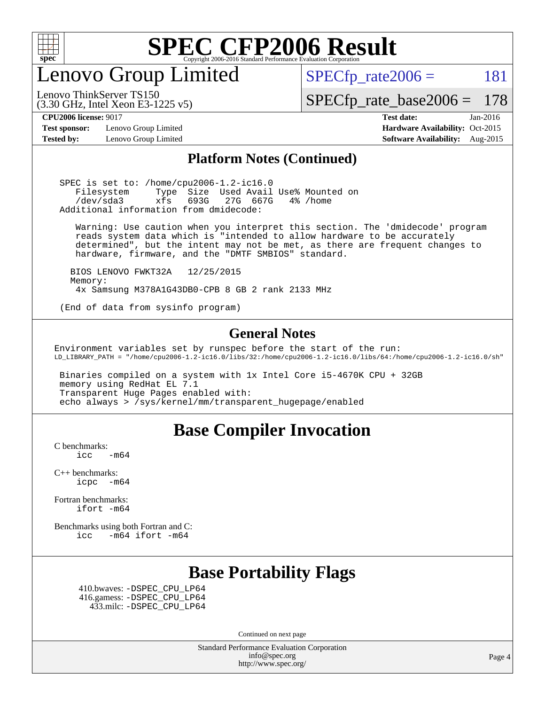

Lenovo Group Limited

 $SPECTp_rate2006 = 181$ 

[SPECfp\\_rate\\_base2006 =](http://www.spec.org/auto/cpu2006/Docs/result-fields.html#SPECfpratebase2006) 178

Lenovo ThinkServer TS150

**[Test sponsor:](http://www.spec.org/auto/cpu2006/Docs/result-fields.html#Testsponsor)** Lenovo Group Limited **[Hardware Availability:](http://www.spec.org/auto/cpu2006/Docs/result-fields.html#HardwareAvailability)** Oct-2015

(3.30 GHz, Intel Xeon E3-1225 v5)

**[CPU2006 license:](http://www.spec.org/auto/cpu2006/Docs/result-fields.html#CPU2006license)** 9017 **[Test date:](http://www.spec.org/auto/cpu2006/Docs/result-fields.html#Testdate)** Jan-2016 **[Tested by:](http://www.spec.org/auto/cpu2006/Docs/result-fields.html#Testedby)** Lenovo Group Limited **[Software Availability:](http://www.spec.org/auto/cpu2006/Docs/result-fields.html#SoftwareAvailability)** Aug-2015

### **[Platform Notes \(Continued\)](http://www.spec.org/auto/cpu2006/Docs/result-fields.html#PlatformNotes)**

 SPEC is set to: /home/cpu2006-1.2-ic16.0 Filesystem Type Size Used Avail Use% Mounted on /dev/sda3 xfs 693G 27G 667G 4% /home Additional information from dmidecode:

 Warning: Use caution when you interpret this section. The 'dmidecode' program reads system data which is "intended to allow hardware to be accurately determined", but the intent may not be met, as there are frequent changes to hardware, firmware, and the "DMTF SMBIOS" standard.

 BIOS LENOVO FWKT32A 12/25/2015 Memory: 4x Samsung M378A1G43DB0-CPB 8 GB 2 rank 2133 MHz

(End of data from sysinfo program)

### **[General Notes](http://www.spec.org/auto/cpu2006/Docs/result-fields.html#GeneralNotes)**

Environment variables set by runspec before the start of the run: LD\_LIBRARY\_PATH = "/home/cpu2006-1.2-ic16.0/libs/32:/home/cpu2006-1.2-ic16.0/libs/64:/home/cpu2006-1.2-ic16.0/sh"

 Binaries compiled on a system with 1x Intel Core i5-4670K CPU + 32GB memory using RedHat EL 7.1 Transparent Huge Pages enabled with: echo always > /sys/kernel/mm/transparent\_hugepage/enabled

### **[Base Compiler Invocation](http://www.spec.org/auto/cpu2006/Docs/result-fields.html#BaseCompilerInvocation)**

[C benchmarks](http://www.spec.org/auto/cpu2006/Docs/result-fields.html#Cbenchmarks):  $\text{icc}$  -m64

[C++ benchmarks:](http://www.spec.org/auto/cpu2006/Docs/result-fields.html#CXXbenchmarks) [icpc -m64](http://www.spec.org/cpu2006/results/res2016q1/cpu2006-20160125-38854.flags.html#user_CXXbase_intel_icpc_64bit_bedb90c1146cab66620883ef4f41a67e)

[Fortran benchmarks](http://www.spec.org/auto/cpu2006/Docs/result-fields.html#Fortranbenchmarks): [ifort -m64](http://www.spec.org/cpu2006/results/res2016q1/cpu2006-20160125-38854.flags.html#user_FCbase_intel_ifort_64bit_ee9d0fb25645d0210d97eb0527dcc06e)

[Benchmarks using both Fortran and C](http://www.spec.org/auto/cpu2006/Docs/result-fields.html#BenchmarksusingbothFortranandC): [icc -m64](http://www.spec.org/cpu2006/results/res2016q1/cpu2006-20160125-38854.flags.html#user_CC_FCbase_intel_icc_64bit_0b7121f5ab7cfabee23d88897260401c) [ifort -m64](http://www.spec.org/cpu2006/results/res2016q1/cpu2006-20160125-38854.flags.html#user_CC_FCbase_intel_ifort_64bit_ee9d0fb25645d0210d97eb0527dcc06e)

## **[Base Portability Flags](http://www.spec.org/auto/cpu2006/Docs/result-fields.html#BasePortabilityFlags)**

 410.bwaves: [-DSPEC\\_CPU\\_LP64](http://www.spec.org/cpu2006/results/res2016q1/cpu2006-20160125-38854.flags.html#suite_basePORTABILITY410_bwaves_DSPEC_CPU_LP64) 416.gamess: [-DSPEC\\_CPU\\_LP64](http://www.spec.org/cpu2006/results/res2016q1/cpu2006-20160125-38854.flags.html#suite_basePORTABILITY416_gamess_DSPEC_CPU_LP64) 433.milc: [-DSPEC\\_CPU\\_LP64](http://www.spec.org/cpu2006/results/res2016q1/cpu2006-20160125-38854.flags.html#suite_basePORTABILITY433_milc_DSPEC_CPU_LP64)

Continued on next page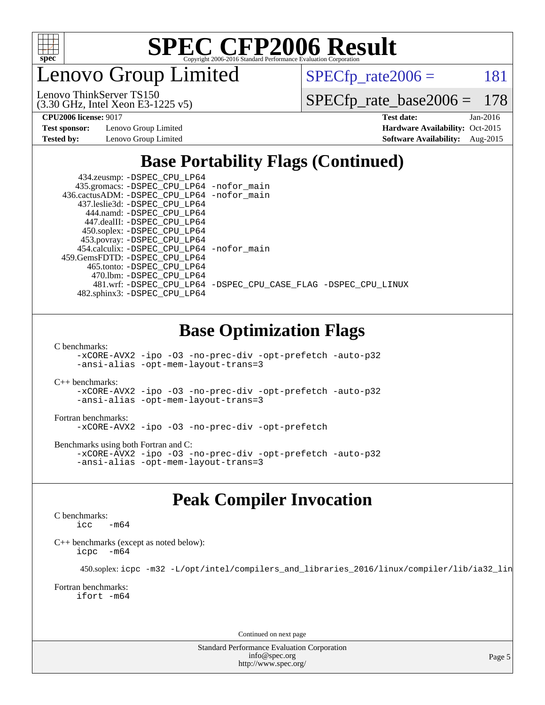

enovo Group Limited

 $SPECTp_rate2006 = 181$ 

(3.30 GHz, Intel Xeon E3-1225 v5) Lenovo ThinkServer TS150

[SPECfp\\_rate\\_base2006 =](http://www.spec.org/auto/cpu2006/Docs/result-fields.html#SPECfpratebase2006) 178

**[Test sponsor:](http://www.spec.org/auto/cpu2006/Docs/result-fields.html#Testsponsor)** Lenovo Group Limited **[Hardware Availability:](http://www.spec.org/auto/cpu2006/Docs/result-fields.html#HardwareAvailability)** Oct-2015

**[CPU2006 license:](http://www.spec.org/auto/cpu2006/Docs/result-fields.html#CPU2006license)** 9017 **[Test date:](http://www.spec.org/auto/cpu2006/Docs/result-fields.html#Testdate)** Jan-2016 **[Tested by:](http://www.spec.org/auto/cpu2006/Docs/result-fields.html#Testedby)** Lenovo Group Limited **[Software Availability:](http://www.spec.org/auto/cpu2006/Docs/result-fields.html#SoftwareAvailability)** Aug-2015

## **[Base Portability Flags \(Continued\)](http://www.spec.org/auto/cpu2006/Docs/result-fields.html#BasePortabilityFlags)**

| 434.zeusmp: - DSPEC_CPU_LP64               |                                                                |
|--------------------------------------------|----------------------------------------------------------------|
| 435.gromacs: -DSPEC_CPU_LP64 -nofor_main   |                                                                |
| 436.cactusADM: -DSPEC CPU LP64 -nofor main |                                                                |
| 437.leslie3d: -DSPEC CPU LP64              |                                                                |
| 444.namd: -DSPEC CPU LP64                  |                                                                |
| 447.dealII: -DSPEC CPU LP64                |                                                                |
| 450.soplex: -DSPEC_CPU_LP64                |                                                                |
| 453.povray: -DSPEC_CPU_LP64                |                                                                |
| 454.calculix: -DSPEC_CPU_LP64 -nofor_main  |                                                                |
| 459.GemsFDTD: -DSPEC CPU LP64              |                                                                |
| 465.tonto: - DSPEC CPU LP64                |                                                                |
| 470.1bm: - DSPEC CPU LP64                  |                                                                |
|                                            | 481.wrf: -DSPEC CPU_LP64 -DSPEC_CPU_CASE_FLAG -DSPEC_CPU_LINUX |
| 482.sphinx3: -DSPEC_CPU_LP64               |                                                                |

## **[Base Optimization Flags](http://www.spec.org/auto/cpu2006/Docs/result-fields.html#BaseOptimizationFlags)**

[C benchmarks](http://www.spec.org/auto/cpu2006/Docs/result-fields.html#Cbenchmarks):

[-xCORE-AVX2](http://www.spec.org/cpu2006/results/res2016q1/cpu2006-20160125-38854.flags.html#user_CCbase_f-xAVX2_5f5fc0cbe2c9f62c816d3e45806c70d7) [-ipo](http://www.spec.org/cpu2006/results/res2016q1/cpu2006-20160125-38854.flags.html#user_CCbase_f-ipo) [-O3](http://www.spec.org/cpu2006/results/res2016q1/cpu2006-20160125-38854.flags.html#user_CCbase_f-O3) [-no-prec-div](http://www.spec.org/cpu2006/results/res2016q1/cpu2006-20160125-38854.flags.html#user_CCbase_f-no-prec-div) [-opt-prefetch](http://www.spec.org/cpu2006/results/res2016q1/cpu2006-20160125-38854.flags.html#user_CCbase_f-opt-prefetch) [-auto-p32](http://www.spec.org/cpu2006/results/res2016q1/cpu2006-20160125-38854.flags.html#user_CCbase_f-auto-p32) [-ansi-alias](http://www.spec.org/cpu2006/results/res2016q1/cpu2006-20160125-38854.flags.html#user_CCbase_f-ansi-alias) [-opt-mem-layout-trans=3](http://www.spec.org/cpu2006/results/res2016q1/cpu2006-20160125-38854.flags.html#user_CCbase_f-opt-mem-layout-trans_a7b82ad4bd7abf52556d4961a2ae94d5)

[C++ benchmarks:](http://www.spec.org/auto/cpu2006/Docs/result-fields.html#CXXbenchmarks)

[-xCORE-AVX2](http://www.spec.org/cpu2006/results/res2016q1/cpu2006-20160125-38854.flags.html#user_CXXbase_f-xAVX2_5f5fc0cbe2c9f62c816d3e45806c70d7) [-ipo](http://www.spec.org/cpu2006/results/res2016q1/cpu2006-20160125-38854.flags.html#user_CXXbase_f-ipo) [-O3](http://www.spec.org/cpu2006/results/res2016q1/cpu2006-20160125-38854.flags.html#user_CXXbase_f-O3) [-no-prec-div](http://www.spec.org/cpu2006/results/res2016q1/cpu2006-20160125-38854.flags.html#user_CXXbase_f-no-prec-div) [-opt-prefetch](http://www.spec.org/cpu2006/results/res2016q1/cpu2006-20160125-38854.flags.html#user_CXXbase_f-opt-prefetch) [-auto-p32](http://www.spec.org/cpu2006/results/res2016q1/cpu2006-20160125-38854.flags.html#user_CXXbase_f-auto-p32) [-ansi-alias](http://www.spec.org/cpu2006/results/res2016q1/cpu2006-20160125-38854.flags.html#user_CXXbase_f-ansi-alias) [-opt-mem-layout-trans=3](http://www.spec.org/cpu2006/results/res2016q1/cpu2006-20160125-38854.flags.html#user_CXXbase_f-opt-mem-layout-trans_a7b82ad4bd7abf52556d4961a2ae94d5)

#### [Fortran benchmarks](http://www.spec.org/auto/cpu2006/Docs/result-fields.html#Fortranbenchmarks):

[-xCORE-AVX2](http://www.spec.org/cpu2006/results/res2016q1/cpu2006-20160125-38854.flags.html#user_FCbase_f-xAVX2_5f5fc0cbe2c9f62c816d3e45806c70d7) [-ipo](http://www.spec.org/cpu2006/results/res2016q1/cpu2006-20160125-38854.flags.html#user_FCbase_f-ipo) [-O3](http://www.spec.org/cpu2006/results/res2016q1/cpu2006-20160125-38854.flags.html#user_FCbase_f-O3) [-no-prec-div](http://www.spec.org/cpu2006/results/res2016q1/cpu2006-20160125-38854.flags.html#user_FCbase_f-no-prec-div) [-opt-prefetch](http://www.spec.org/cpu2006/results/res2016q1/cpu2006-20160125-38854.flags.html#user_FCbase_f-opt-prefetch)

[Benchmarks using both Fortran and C](http://www.spec.org/auto/cpu2006/Docs/result-fields.html#BenchmarksusingbothFortranandC):

[-xCORE-AVX2](http://www.spec.org/cpu2006/results/res2016q1/cpu2006-20160125-38854.flags.html#user_CC_FCbase_f-xAVX2_5f5fc0cbe2c9f62c816d3e45806c70d7) [-ipo](http://www.spec.org/cpu2006/results/res2016q1/cpu2006-20160125-38854.flags.html#user_CC_FCbase_f-ipo) [-O3](http://www.spec.org/cpu2006/results/res2016q1/cpu2006-20160125-38854.flags.html#user_CC_FCbase_f-O3) [-no-prec-div](http://www.spec.org/cpu2006/results/res2016q1/cpu2006-20160125-38854.flags.html#user_CC_FCbase_f-no-prec-div) [-opt-prefetch](http://www.spec.org/cpu2006/results/res2016q1/cpu2006-20160125-38854.flags.html#user_CC_FCbase_f-opt-prefetch) [-auto-p32](http://www.spec.org/cpu2006/results/res2016q1/cpu2006-20160125-38854.flags.html#user_CC_FCbase_f-auto-p32) [-ansi-alias](http://www.spec.org/cpu2006/results/res2016q1/cpu2006-20160125-38854.flags.html#user_CC_FCbase_f-ansi-alias) [-opt-mem-layout-trans=3](http://www.spec.org/cpu2006/results/res2016q1/cpu2006-20160125-38854.flags.html#user_CC_FCbase_f-opt-mem-layout-trans_a7b82ad4bd7abf52556d4961a2ae94d5)

## **[Peak Compiler Invocation](http://www.spec.org/auto/cpu2006/Docs/result-fields.html#PeakCompilerInvocation)**

#### [C benchmarks](http://www.spec.org/auto/cpu2006/Docs/result-fields.html#Cbenchmarks):

 $\text{icc}$   $-\text{m64}$ 

[C++ benchmarks \(except as noted below\):](http://www.spec.org/auto/cpu2006/Docs/result-fields.html#CXXbenchmarksexceptasnotedbelow) [icpc -m64](http://www.spec.org/cpu2006/results/res2016q1/cpu2006-20160125-38854.flags.html#user_CXXpeak_intel_icpc_64bit_bedb90c1146cab66620883ef4f41a67e)

450.soplex: [icpc -m32 -L/opt/intel/compilers\\_and\\_libraries\\_2016/linux/compiler/lib/ia32\\_lin](http://www.spec.org/cpu2006/results/res2016q1/cpu2006-20160125-38854.flags.html#user_peakCXXLD450_soplex_intel_icpc_b4f50a394bdb4597aa5879c16bc3f5c5)

#### [Fortran benchmarks](http://www.spec.org/auto/cpu2006/Docs/result-fields.html#Fortranbenchmarks): [ifort -m64](http://www.spec.org/cpu2006/results/res2016q1/cpu2006-20160125-38854.flags.html#user_FCpeak_intel_ifort_64bit_ee9d0fb25645d0210d97eb0527dcc06e)

Continued on next page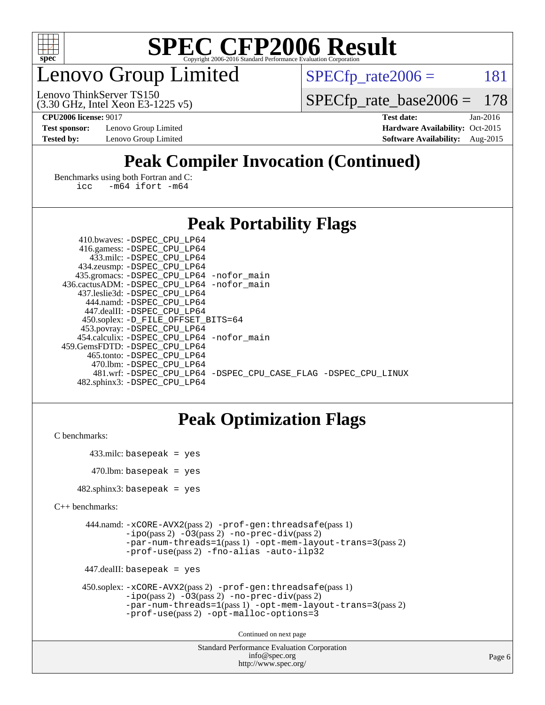

## enovo Group Limited

 $SPECTp_rate2006 = 181$ 

(3.30 GHz, Intel Xeon E3-1225 v5) Lenovo ThinkServer TS150

[SPECfp\\_rate\\_base2006 =](http://www.spec.org/auto/cpu2006/Docs/result-fields.html#SPECfpratebase2006) 178

**[Test sponsor:](http://www.spec.org/auto/cpu2006/Docs/result-fields.html#Testsponsor)** Lenovo Group Limited **[Hardware Availability:](http://www.spec.org/auto/cpu2006/Docs/result-fields.html#HardwareAvailability)** Oct-2015

**[CPU2006 license:](http://www.spec.org/auto/cpu2006/Docs/result-fields.html#CPU2006license)** 9017 **[Test date:](http://www.spec.org/auto/cpu2006/Docs/result-fields.html#Testdate)** Jan-2016 **[Tested by:](http://www.spec.org/auto/cpu2006/Docs/result-fields.html#Testedby)** Lenovo Group Limited **[Software Availability:](http://www.spec.org/auto/cpu2006/Docs/result-fields.html#SoftwareAvailability)** Aug-2015

## **[Peak Compiler Invocation \(Continued\)](http://www.spec.org/auto/cpu2006/Docs/result-fields.html#PeakCompilerInvocation)**

[Benchmarks using both Fortran and C](http://www.spec.org/auto/cpu2006/Docs/result-fields.html#BenchmarksusingbothFortranandC): [icc -m64](http://www.spec.org/cpu2006/results/res2016q1/cpu2006-20160125-38854.flags.html#user_CC_FCpeak_intel_icc_64bit_0b7121f5ab7cfabee23d88897260401c) [ifort -m64](http://www.spec.org/cpu2006/results/res2016q1/cpu2006-20160125-38854.flags.html#user_CC_FCpeak_intel_ifort_64bit_ee9d0fb25645d0210d97eb0527dcc06e)

### **[Peak Portability Flags](http://www.spec.org/auto/cpu2006/Docs/result-fields.html#PeakPortabilityFlags)**

| 410.bwaves: -DSPEC CPU LP64                                    |  |
|----------------------------------------------------------------|--|
| 416.gamess: -DSPEC_CPU_LP64                                    |  |
| 433.milc: -DSPEC CPU LP64                                      |  |
| 434.zeusmp: -DSPEC_CPU_LP64                                    |  |
| 435.gromacs: -DSPEC_CPU_LP64 -nofor_main                       |  |
| 436.cactusADM: -DSPEC CPU LP64 -nofor main                     |  |
| 437.leslie3d: -DSPEC CPU LP64                                  |  |
| 444.namd: - DSPEC_CPU LP64                                     |  |
| 447.dealII: -DSPEC CPU LP64                                    |  |
| 450.soplex: -D_FILE_OFFSET_BITS=64                             |  |
| 453.povray: -DSPEC_CPU_LP64                                    |  |
| 454.calculix: - DSPEC CPU LP64 - nofor main                    |  |
| 459.GemsFDTD: -DSPEC CPU LP64                                  |  |
| 465.tonto: -DSPEC CPU LP64                                     |  |
| 470.1bm: - DSPEC CPU LP64                                      |  |
| 481.wrf: -DSPEC CPU_LP64 -DSPEC_CPU_CASE_FLAG -DSPEC_CPU_LINUX |  |
| 482.sphinx3: -DSPEC CPU LP64                                   |  |

## **[Peak Optimization Flags](http://www.spec.org/auto/cpu2006/Docs/result-fields.html#PeakOptimizationFlags)**

```
C benchmarks:
```

```
 433.milc: basepeak = yes
470.lbm: basepeak = yes
```
482.sphinx3: basepeak = yes

```
C++ benchmarks:
```

```
 444.namd: -xCORE-AVX2(pass 2) -prof-gen:threadsafe(pass 1)
         -i\text{po}(pass 2) -\overline{O}3(pass 2)-no-prec-div(pass 2)
         -par-num-threads=1(pass 1) -opt-mem-layout-trans=3(pass 2)
         -prof-use(pass 2) -fno-alias -auto-ilp32
```

```
 447.dealII: basepeak = yes
```

```
 450.soplex: -xCORE-AVX2(pass 2) -prof-gen:threadsafe(pass 1)
         -ipo(pass 2) -O3(pass 2) -no-prec-div(pass 2)
         -par-num-threads=1(pass 1) -opt-mem-layout-trans=3(pass 2)
         -prof-use(pass 2) -opt-malloc-options=3
```
Continued on next page

```
Standard Performance Evaluation Corporation
              info@spec.org
           http://www.spec.org/
```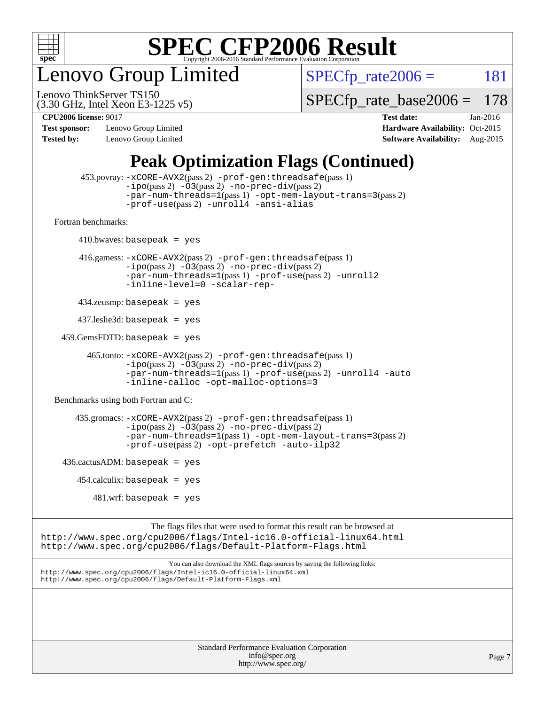

enovo Group Limited

 $SPECTp_rate2006 = 181$ 

(3.30 GHz, Intel Xeon E3-1225 v5) Lenovo ThinkServer TS150

[SPECfp\\_rate\\_base2006 =](http://www.spec.org/auto/cpu2006/Docs/result-fields.html#SPECfpratebase2006) 178

**[Test sponsor:](http://www.spec.org/auto/cpu2006/Docs/result-fields.html#Testsponsor)** Lenovo Group Limited **[Hardware Availability:](http://www.spec.org/auto/cpu2006/Docs/result-fields.html#HardwareAvailability)** Oct-2015

**[CPU2006 license:](http://www.spec.org/auto/cpu2006/Docs/result-fields.html#CPU2006license)** 9017 **[Test date:](http://www.spec.org/auto/cpu2006/Docs/result-fields.html#Testdate)** Jan-2016 **[Tested by:](http://www.spec.org/auto/cpu2006/Docs/result-fields.html#Testedby)** Lenovo Group Limited **[Software Availability:](http://www.spec.org/auto/cpu2006/Docs/result-fields.html#SoftwareAvailability)** Aug-2015

## **[Peak Optimization Flags \(Continued\)](http://www.spec.org/auto/cpu2006/Docs/result-fields.html#PeakOptimizationFlags)**

```
 453.povray: -xCORE-AVX2(pass 2) -prof-gen:threadsafe(pass 1)
                   -i\text{po}(pass 2) -\overset{\sim}{O}3(pass 2)-no-prec-div(pass 2)
                   -par-num-threads=1(pass 1) -opt-mem-layout-trans=3(pass 2)
                   -prof-use(pass 2) -unroll4 -ansi-alias
   Fortran benchmarks: 
        410.bwaves: basepeak = yes 416.gamess: -xCORE-AVX2(pass 2) -prof-gen:threadsafe(pass 1)
                   -ipo(pass 2) -O3(pass 2) -no-prec-div(pass 2)
                   -par-num-threads=1(pass 1) -prof-use(pass 2) -unroll2
                   -inline-level=0 -scalar-rep-
         434.zeusmp: basepeak = yes
         437.leslie3d: basepeak = yes
     459.GemsFDTD: basepeak = yes
           465.tonto: -xCORE-AVX2(pass 2) -prof-gen:threadsafe(pass 1)
                   -i\text{po}(pass 2) -03(pass 2)-no-prec-div(pass 2)
                   -par-num-threads=1(pass 1) -prof-use(pass 2) -unroll4 -auto
                   -inline-calloc -opt-malloc-options=3
   Benchmarks using both Fortran and C: 
         435.gromacs: -xCORE-AVX2(pass 2) -prof-gen:threadsafe(pass 1)
                   -i\text{po}(pass 2) -\tilde{O}3(pass 2)-no-prec-div(pass 2)
                   -par-num-threads=1(pass 1) -opt-mem-layout-trans=3(pass 2)
                   -prof-use(pass 2) -opt-prefetch -auto-ilp32
    436.cactusADM:basepeak = yes454.calculix: basepeak = yes
            481 \text{.m}: basepeak = yes
                         The flags files that were used to format this result can be browsed at
http://www.spec.org/cpu2006/flags/Intel-ic16.0-official-linux64.html
http://www.spec.org/cpu2006/flags/Default-Platform-Flags.html
                             You can also download the XML flags sources by saving the following links:
http://www.spec.org/cpu2006/flags/Intel-ic16.0-official-linux64.xml
http://www.spec.org/cpu2006/flags/Default-Platform-Flags.xml
```